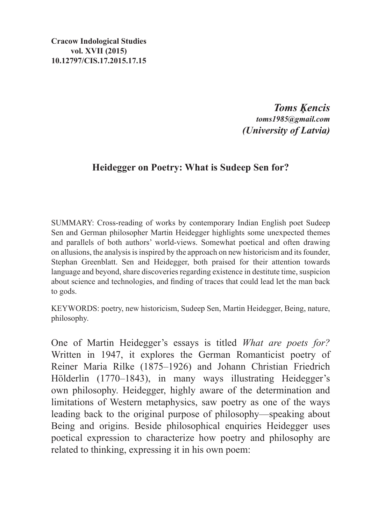**Cracow Indological Studies vol. XVII (2015) 10.12797/CIS.17.2015.17.15**

> *Toms Ķencis toms1985@gmail.com (University of Latvia)*

## **Heidegger on Poetry: What is Sudeep Sen for?**

Summary: Cross-reading of works by contemporary Indian English poet Sudeep Sen and German philosopher Martin Heidegger highlights some unexpected themes and parallels of both authors' world-views. Somewhat poetical and often drawing on allusions, the analysis isinspired by the approach on new historicism and its founder, Stephan Greenblatt. Sen and Heidegger, both praised for their attention towards language and beyond, share discoveries regarding existence in destitute time, suspicion about science and technologies, and finding of traces that could lead let the man back to gods.

KEYWORDS: poetry, new historicism, Sudeep Sen, Martin Heidegger, Being, nature, philosophy.

One of Martin Heidegger's essays is titled *What are poets for?*  Written in 1947, it explores the German Romanticist poetry of Reiner Maria Rilke (1875–1926) and Johann Christian Friedrich Hölderlin (1770–1843), in many ways illustrating Heidegger's own philosophy. Heidegger, highly aware of the determination and limitations of Western metaphysics, saw poetry as one of the ways leading back to the original purpose of philosophy—speaking about Being and origins. Beside philosophical enquiries Heidegger uses poetical expression to characterize how poetry and philosophy are related to thinking, expressing it in his own poem: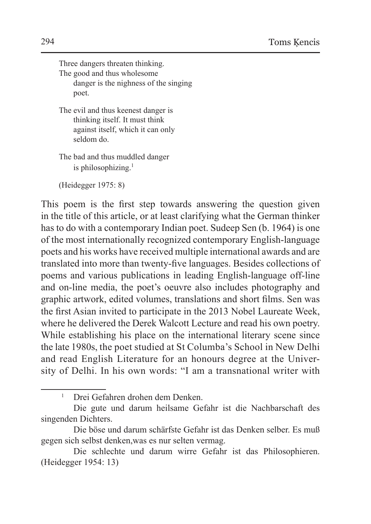Three dangers threaten thinking. The good and thus wholesome danger is the nighness of the singing poet. The evil and thus keenest danger is thinking itself. It must think against itself, which it can only

The bad and thus muddled danger is philosophizing.<sup>1</sup>

(Heidegger 1975: 8)

seldom do.

This poem is the first step towards answering the question given in the title of this article, or at least clarifying what the German thinker has to do with a contemporary Indian poet. Sudeep Sen (b. 1964) is one of the most internationally recognized contemporary English-language poets and his works have received multiple international awards and are translated into more than twenty-five languages. Besides collections of poems and various publications in leading English-language off-line and on-line media, the poet's oeuvre also includes photography and graphic artwork, edited volumes, translations and short films. Sen was the first Asian invited to participate in the 2013 Nobel Laureate Week, where he delivered the Derek Walcott Lecture and read his own poetry. While establishing his place on the international literary scene since the late 1980s, the poet studied at St Columba's School in New Delhi and read English Literature for an honours degree at the University of Delhi. In his own words: "I am a transnational writer with

<sup>1</sup> Drei Gefahren drohen dem Denken.

Die gute und darum heilsame Gefahr ist die Nachbarschaft des singenden Dichters.

Die böse und darum schärfste Gefahr ist das Denken selber. Es muß gegen sich selbst denken,was es nur selten vermag.

Die schlechte und darum wirre Gefahr ist das Philosophieren. (Heidegger 1954: 13)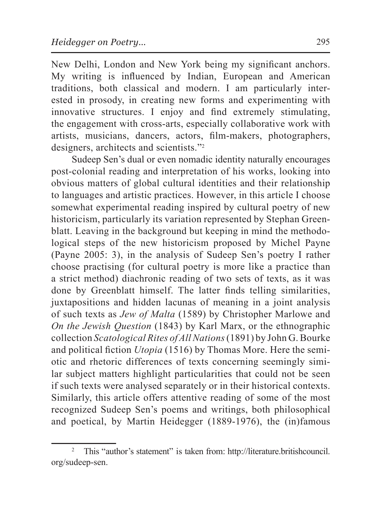New Delhi, London and New York being my significant anchors. My writing is influenced by Indian, European and American traditions, both classical and modern. I am particularly interested in prosody, in creating new forms and experimenting with innovative structures. I enjoy and find extremely stimulating, the engagement with cross-arts, especially collaborative work with artists, musicians, dancers, actors, film-makers, photographers, designers, architects and scientists."2

Sudeep Sen's dual or even nomadic identity naturally encourages post-colonial reading and interpretation of his works, looking into obvious matters of global cultural identities and their relationship to languages and artistic practices. However, in this article I choose somewhat experimental reading inspired by cultural poetry of new historicism, particularly its variation represented by Stephan Greenblatt. Leaving in the background but keeping in mind the methodological steps of the new historicism proposed by Michel Payne (Payne 2005: 3), in the analysis of Sudeep Sen's poetry I rather choose practising (for cultural poetry is more like a practice than a strict method) diachronic reading of two sets of texts, as it was done by Greenblatt himself. The latter finds telling similarities, juxtapositions and hidden lacunas of meaning in a joint analysis of such texts as *Jew of Malta* (1589) by Christopher Marlowe and *On the Jewish Question* (1843) by Karl Marx, or the ethnographic collection *Scatological Rites of All Nations* (1891) by John G. Bourke and political fiction *Utopia* (1516) by Thomas More. Here the semiotic and rhetoric differences of texts concerning seemingly similar subject matters highlight particularities that could not be seen if such texts were analysed separately or in their historical contexts. Similarly, this article offers attentive reading of some of the most recognized Sudeep Sen's poems and writings, both philosophical and poetical, by Martin Heidegger (1889-1976), the (in)famous

<sup>2</sup> This "author's statement" is taken from: http://literature.britishcouncil. org/sudeep-sen.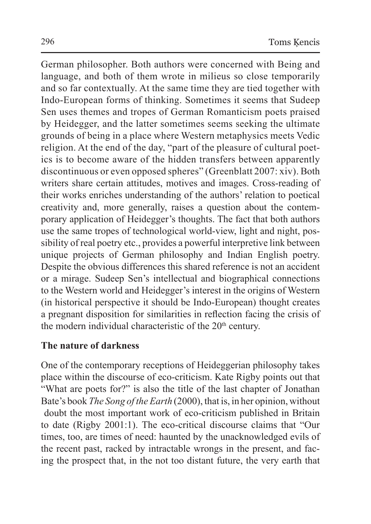German philosopher. Both authors were concerned with Being and language, and both of them wrote in milieus so close temporarily and so far contextually. At the same time they are tied together with Indo-European forms of thinking. Sometimes it seems that Sudeep Sen uses themes and tropes of German Romanticism poets praised by Heidegger, and the latter sometimes seems seeking the ultimate grounds of being in a place where Western metaphysics meets Vedic religion. At the end of the day, "part of the pleasure of cultural poetics is to become aware of the hidden transfers between apparently discontinuous or even opposed spheres" (Greenblatt 2007: xiv). Both writers share certain attitudes, motives and images. Cross-reading of their works enriches understanding of the authors' relation to poetical creativity and, more generally, raises a question about the contemporary application of Heidegger's thoughts. The fact that both authors use the same tropes of technological world-view, light and night, possibility of real poetry etc., provides a powerful interpretive link between unique projects of German philosophy and Indian English poetry. Despite the obvious differences this shared reference is not an accident or a mirage. Sudeep Sen's intellectual and biographical connections to the Western world and Heidegger's interest in the origins of Western (in historical perspective it should be Indo-European) thought creates a pregnant disposition for similarities in reflection facing the crisis of the modern individual characteristic of the 20<sup>th</sup> century.

### **The nature of darkness**

One of the contemporary receptions of Heideggerian philosophy takes place within the discourse of eco-criticism. Kate Rigby points out that "What are poets for?" is also the title of the last chapter of Jonathan Bate's book *The Song of the Earth* (2000), that is, in her opinion, without doubt the most important work of eco-criticism published in Britain to date (Rigby 2001:1). The eco-critical discourse claims that "Our times, too, are times of need: haunted by the unacknowledged evils of the recent past, racked by intractable wrongs in the present, and facing the prospect that, in the not too distant future, the very earth that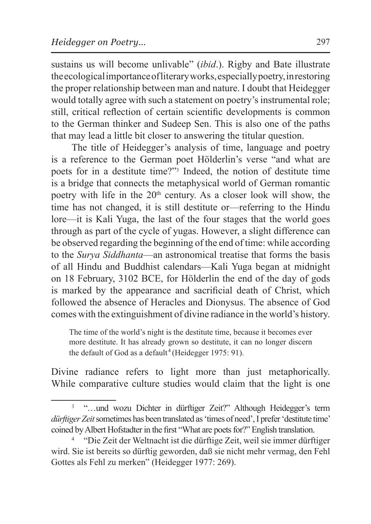sustains us will become unlivable" (*ibid*.). Rigby and Bate illustrate the ecological importance of literary works, especially poetry, inrestoring the proper relationship between man and nature. I doubt that Heidegger would totally agree with such a statement on poetry's instrumental role; still, critical reflection of certain scientific developments is common to the German thinker and Sudeep Sen. This is also one of the paths that may lead a little bit closer to answering the titular question.

The title of Heidegger's analysis of time, language and poetry is a reference to the German poet Hölderlin's verse "and what are poets for in a destitute time?"3 Indeed, the notion of destitute time is a bridge that connects the metaphysical world of German romantic poetry with life in the  $20<sup>th</sup>$  century. As a closer look will show, the time has not changed, it is still destitute or—referring to the Hindu lore—it is Kali Yuga, the last of the four stages that the world goes through as part of the cycle of yugas. However, a slight difference can be observed regarding the beginning of the end of time: while according to the *Surya Siddhanta*—an astronomical treatise that forms the basis of all Hindu and Buddhist calendars—Kali Yuga began at midnight on 18 February, 3102 BCE, for Hölderlin the end of the day of gods is marked by the appearance and sacrificial death of Christ, which followed the absence of Heracles and Dionysus. The absence of God comes with the extinguishment of divine radiance in the world's history.

The time of the world's night is the destitute time, because it becomes ever more destitute. It has already grown so destitute, it can no longer discern the default of God as a default<sup>4</sup> (Heidegger 1975: 91).

Divine radiance refers to light more than just metaphorically. While comparative culture studies would claim that the light is one

<sup>&</sup>lt;sup>3</sup> "...und wozu Dichter in dürftiger Zeit?" Although Heidegger's term *dürftiger Zeit* sometimes has been translated as'times of need', I prefer 'destitute time' coined by Albert Hofstadter in the first "What are poets for?" English translation.

<sup>4</sup> "Die Zeit der Weltnacht ist die dürftige Zeit, weil sie immer dürftiger wird. Sie ist bereits so dürftig geworden, daß sie nicht mehr vermag, den Fehl Gottes als Fehl zu merken" (Heidegger 1977: 269).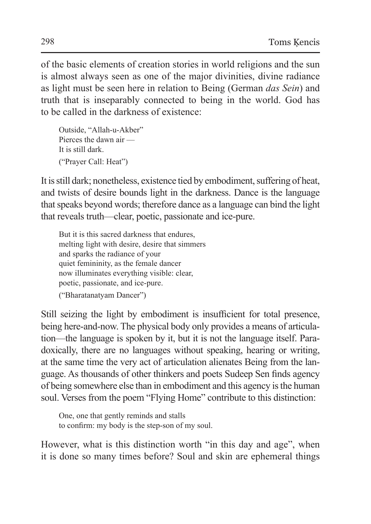of the basic elements of creation stories in world religions and the sun is almost always seen as one of the major divinities, divine radiance as light must be seen here in relation to Being (German *das Sein*) and truth that is inseparably connected to being in the world. God has to be called in the darkness of existence:

```
Outside, "Allah-u-Akber"
Pierces the dawn air —
It is still dark. 
("Prayer Call: Heat")
```
It isstill dark; nonetheless, existence tied by embodiment, suffering of heat, and twists of desire bounds light in the darkness. Dance is the language that speaks beyond words; therefore dance as a language can bind the light that reveals truth—clear, poetic, passionate and ice-pure.

But it is this sacred darkness that endures melting light with desire, desire that simmers and sparks the radiance of your quiet femininity, as the female dancer now illuminates everything visible: clear, poetic, passionate, and ice-pure.

("Bharatanatyam Dancer")

Still seizing the light by embodiment is insufficient for total presence, being here-and-now. The physical body only provides a means of articulation—the language is spoken by it, but it is not the language itself. Paradoxically, there are no languages without speaking, hearing or writing, at the same time the very act of articulation alienates Being from the language. As thousands of other thinkers and poets Sudeep Sen finds agency of being somewhere else than in embodiment and this agency isthe human soul. Verses from the poem "Flying Home" contribute to this distinction:

One, one that gently reminds and stalls to confirm: my body is the step-son of my soul.

However, what is this distinction worth "in this day and age", when it is done so many times before? Soul and skin are ephemeral things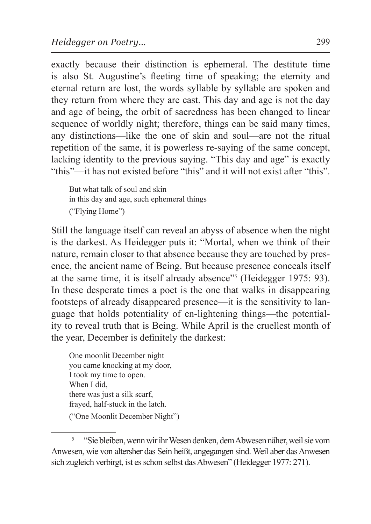exactly because their distinction is ephemeral. The destitute time is also St. Augustine's fleeting time of speaking; the eternity and eternal return are lost, the words syllable by syllable are spoken and they return from where they are cast. This day and age is not the day and age of being, the orbit of sacredness has been changed to linear sequence of worldly night; therefore, things can be said many times, any distinctions—like the one of skin and soul—are not the ritual repetition of the same, it is powerless re-saying of the same concept, lacking identity to the previous saying. "This day and age" is exactly "this"—it has not existed before "this" and it will not exist after "this".

But what talk of soul and skin in this day and age, such ephemeral things ("Flying Home")

Still the language itself can reveal an abyss of absence when the night is the darkest. As Heidegger puts it: "Mortal, when we think of their nature, remain closer to that absence because they are touched by presence, the ancient name of Being. But because presence conceals itself at the same time, it is itself already absence"5 (Heidegger 1975: 93). In these desperate times a poet is the one that walks in disappearing footsteps of already disappeared presence—it is the sensitivity to language that holds potentiality of en-lightening things—the potentiality to reveal truth that is Being. While April is the cruellest month of the year, December is definitely the darkest:

One moonlit December night you came knocking at my door, I took my time to open. When I did, there was just a silk scarf, frayed, half-stuck in the latch. ("One Moonlit December Night")

<sup>5</sup> "Sie bleiben, wenn wir ihr Wesen denken, dem Abwesen näher, weil sie vom Anwesen, wie von altersher das Sein heißt, angegangen sind. Weil aber das Anwesen sich zugleich verbirgt, ist es schon selbst das Abwesen" (Heidegger 1977: 271).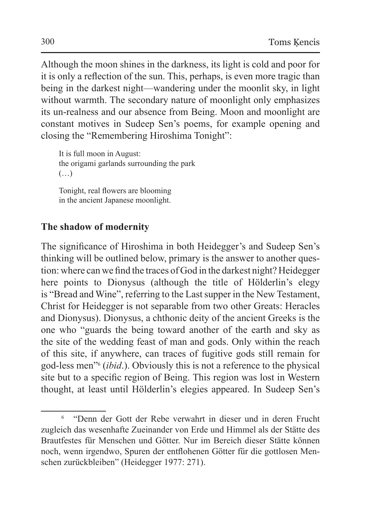Although the moon shines in the darkness, its light is cold and poor for it is only a reflection of the sun. This, perhaps, is even more tragic than being in the darkest night—wandering under the moonlit sky, in light without warmth. The secondary nature of moonlight only emphasizes its un-realness and our absence from Being. Moon and moonlight are constant motives in Sudeep Sen's poems, for example opening and closing the "Remembering Hiroshima Tonight":

It is full moon in August: the origami garlands surrounding the park  $(\ldots)$ 

Tonight, real flowers are blooming in the ancient Japanese moonlight.

# **The shadow of modernity**

The significance of Hiroshima in both Heidegger's and Sudeep Sen's thinking will be outlined below, primary is the answer to another question: where can we find the traces of God in the darkest night? Heidegger here points to Dionysus (although the title of Hölderlin's elegy is "Bread and Wine", referring to the Last supper in the New Testament, Christ for Heidegger is not separable from two other Greats: Heracles and Dionysus). Dionysus, a chthonic deity of the ancient Greeks is the one who "guards the being toward another of the earth and sky as the site of the wedding feast of man and gods. Only within the reach of this site, if anywhere, can traces of fugitive gods still remain for god-less men"6 (*ibid*.). Obviously this is not a reference to the physical site but to a specific region of Being. This region was lost in Western thought, at least until Hölderlin's elegies appeared. In Sudeep Sen's

<sup>6</sup> "Denn der Gott der Rebe verwahrt in dieser und in deren Frucht zugleich das wesenhafte Zueinander von Erde und Himmel als der Stätte des Brautfestes für Menschen und Götter. Nur im Bereich dieser Stätte können noch, wenn irgendwo, Spuren der entflohenen Götter für die gottlosen Menschen zurückbleiben" (Heidegger 1977: 271).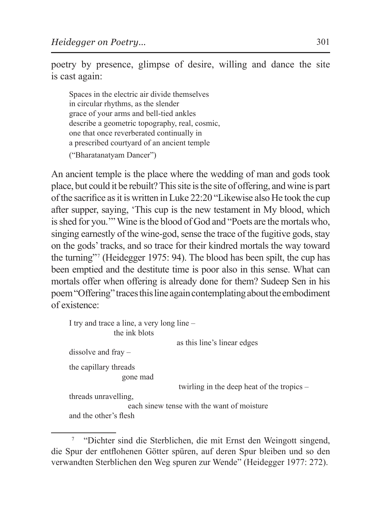poetry by presence, glimpse of desire, willing and dance the site is cast again:

Spaces in the electric air divide themselves in circular rhythms, as the slender grace of your arms and bell-tied ankles describe a geometric topography, real, cosmic, one that once reverberated continually in a prescribed courtyard of an ancient temple ("Bharatanatyam Dancer")

An ancient temple is the place where the wedding of man and gods took place, but could it be rebuilt? This site isthe site of offering, and wine is part of the sacrifice asit is written inLuke 22:20 "Likewise also He took the cup after supper, saying, 'This cup is the new testament in My blood, which is shed for you." Wine is the blood of God and "Poets are the mortals who, singing earnestly of the wine-god, sense the trace of the fugitive gods, stay on the gods' tracks, and so trace for their kindred mortals the way toward the turning"<sup>7</sup> (Heidegger 1975: 94). The blood has been spilt, the cup has been emptied and the destitute time is poor also in this sense. What can mortals offer when offering is already done for them? Sudeep Sen in his poem "Offering" traces this line again contemplating about the embodiment of existence:

I try and trace a line, a very long line – the ink blots as this line's linear edges dissolve and fray – the capillary threads gone mad twirling in the deep heat of the tropics – threads unravelling, each sinew tense with the want of moisture and the other's flesh

<sup>7</sup> "Dichter sind die Sterblichen, die mit Ernst den Weingott singend, die Spur der entflohenen Götter spüren, auf deren Spur bleiben und so den verwandten Sterblichen den Weg spuren zur Wende" (Heidegger 1977: 272).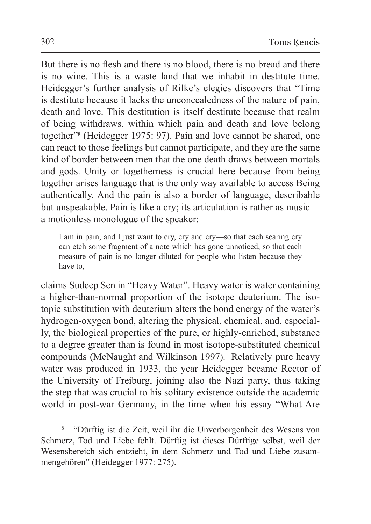But there is no flesh and there is no blood, there is no bread and there is no wine. This is a waste land that we inhabit in destitute time. Heidegger's further analysis of Rilke's elegies discovers that "Time is destitute because it lacks the unconcealedness of the nature of pain, death and love. This destitution is itself destitute because that realm of being withdraws, within which pain and death and love belong together"8 (Heidegger 1975: 97). Pain and love cannot be shared, one can react to those feelings but cannot participate, and they are the same kind of border between men that the one death draws between mortals and gods. Unity or togetherness is crucial here because from being together arises language that is the only way available to access Being authentically. And the pain is also a border of language, describable but unspeakable. Pain is like a cry; its articulation is rather as music a motionless monologue of the speaker:

I am in pain, and I just want to cry, cry and cry—so that each searing cry can etch some fragment of a note which has gone unnoticed, so that each measure of pain is no longer diluted for people who listen because they have to,

claims Sudeep Sen in "Heavy Water". Heavy water is water containing a higher-than-normal proportion of the isotope deuterium. The isotopic substitution with deuterium alters the bond energy of the water's hydrogen-oxygen bond, altering the physical, chemical, and, especially, the biological properties of the pure, or highly-enriched, substance to a degree greater than is found in most isotope-substituted chemical compounds (McNaught and Wilkinson 1997). Relatively pure heavy water was produced in 1933, the year Heidegger became Rector of the University of Freiburg, joining also the Nazi party, thus taking the step that was crucial to his solitary existence outside the academic world in post-war Germany, in the time when his essay "What Are

<sup>8</sup> "Dürftig ist die Zeit, weil ihr die Unverborgenheit des Wesens von Schmerz, Tod und Liebe fehlt. Dürftig ist dieses Dürftige selbst, weil der Wesensbereich sich entzieht, in dem Schmerz und Tod und Liebe zusammengehören" (Heidegger 1977: 275).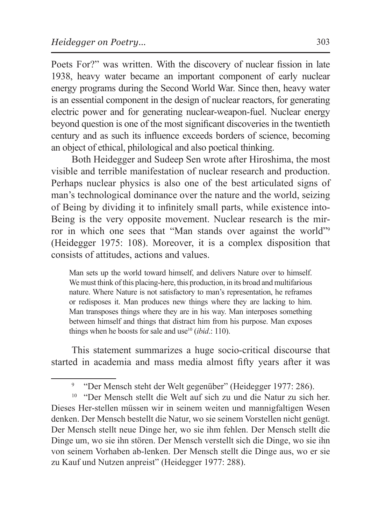Poets For?" was written. With the discovery of nuclear fission in late 1938, heavy water became an important component of early nuclear energy programs during the Second World War. Since then, heavy water is an essential component in the design of nuclear reactors, for generating electric power and for generating nuclear-weapon-fuel. Nuclear energy beyond question is one of the most significant discoveries in the twentieth century and as such its influence exceeds borders of science, becoming an object of ethical, philological and also poetical thinking.

Both Heidegger and Sudeep Sen wrote after Hiroshima, the most visible and terrible manifestation of nuclear research and production. Perhaps nuclear physics is also one of the best articulated signs of man's technological dominance over the nature and the world, seizing of Being by dividing it to infinitely small parts, while existence into-Being is the very opposite movement. Nuclear research is the mirror in which one sees that "Man stands over against the world"9 (Heidegger 1975: 108). Moreover, it is a complex disposition that consists of attitudes, actions and values.

Man sets up the world toward himself, and delivers Nature over to himself. We must think of this placing-here, this production, in its broad and multifarious nature. Where Nature is not satisfactory to man's representation, he reframes or redisposes it. Man produces new things where they are lacking to him. Man transposes things where they are in his way. Man interposes something between himself and things that distract him from his purpose. Man exposes things when he boosts for sale and use<sup>10</sup> (*ibid*.: 110).

This statement summarizes a huge socio-critical discourse that started in academia and mass media almost fifty years after it was

<sup>9</sup> "Der Mensch steht der Welt gegenüber" (Heidegger 1977: 286).

<sup>&</sup>lt;sup>10</sup> "Der Mensch stellt die Welt auf sich zu und die Natur zu sich her. Dieses Her-stellen müssen wir in seinem weiten und mannigfaltigen Wesen denken. Der Mensch bestellt die Natur, wo sie seinem Vorstellen nicht genügt. Der Mensch stellt neue Dinge her, wo sie ihm fehlen. Der Mensch stellt die Dinge um, wo sie ihn stören. Der Mensch verstellt sich die Dinge, wo sie ihn von seinem Vorhaben ab-lenken. Der Mensch stellt die Dinge aus, wo er sie zu Kauf und Nutzen anpreist" (Heidegger 1977: 288).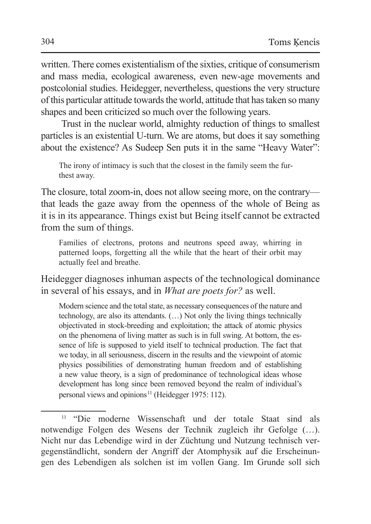written. There comes existentialism of the sixties, critique of consumerism and mass media, ecological awareness, even new-age movements and postcolonial studies. Heidegger, nevertheless, questions the very structure of this particular attitude towards the world, attitude that has taken so many shapes and been criticized so much over the following years.

Trust in the nuclear world, almighty reduction of things to smallest particles is an existential U-turn. We are atoms, but does it say something about the existence? As Sudeep Sen puts it in the same "Heavy Water":

The irony of intimacy is such that the closest in the family seem the furthest away.

The closure, total zoom-in, does not allow seeing more, on the contrary that leads the gaze away from the openness of the whole of Being as it is in its appearance. Things exist but Being itself cannot be extracted from the sum of things.

Families of electrons, protons and neutrons speed away, whirring in patterned loops, forgetting all the while that the heart of their orbit may actually feel and breathe.

Heidegger diagnoses inhuman aspects of the technological dominance in several of his essays, and in *What are poets for?* as well.

Modern science and the total state, as necessary consequences of the nature and technology, are also its attendants. (…) Not only the living things technically objectivated in stock-breeding and exploitation; the attack of atomic physics on the phenomena of living matter as such is in full swing. At bottom, the essence of life is supposed to yield itself to technical production. The fact that we today, in all seriousness, discern in the results and the viewpoint of atomic physics possibilities of demonstrating human freedom and of establishing a new value theory, is a sign of predominance of technological ideas whose development has long since been removed beyond the realm of individual's personal views and opinions 11 (Heidegger 1975: 112).

<sup>11</sup> "Die moderne Wissenschaft und der totale Staat sind als notwendige Folgen des Wesens der Technik zugleich ihr Gefolge (…). Nicht nur das Lebendige wird in der Züchtung und Nutzung technisch vergegenständlicht, sondern der Angriff der Atomphysik auf die Erscheinungen des Lebendigen als solchen ist im vollen Gang. Im Grunde soll sich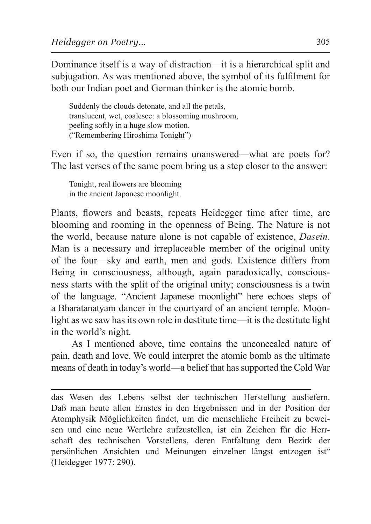Dominance itself is a way of distraction—it is a hierarchical split and subjugation. As was mentioned above, the symbol of its fulfilment for both our Indian poet and German thinker is the atomic bomb.

Suddenly the clouds detonate, and all the petals, translucent, wet, coalesce: a blossoming mushroom, peeling softly in a huge slow motion. ("Remembering Hiroshima Tonight")

Even if so, the question remains unanswered—what are poets for? The last verses of the same poem bring us a step closer to the answer:

Tonight, real flowers are blooming in the ancient Japanese moonlight.

Plants, flowers and beasts, repeats Heidegger time after time, are blooming and rooming in the openness of Being. The Nature is not the world, because nature alone is not capable of existence, *Dasein*. Man is a necessary and irreplaceable member of the original unity of the four—sky and earth, men and gods. Existence differs from Being in consciousness, although, again paradoxically, consciousness starts with the split of the original unity; consciousness is a twin of the language. "Ancient Japanese moonlight" here echoes steps of a Bharatanatyam dancer in the courtyard of an ancient temple. Moonlight as we saw has its own role in destitute time—it is the destitute light in the world's night.

As I mentioned above, time contains the unconcealed nature of pain, death and love. We could interpret the atomic bomb as the ultimate means of death in today's world—a belief that has supported the Cold War

das Wesen des Lebens selbst der technischen Herstellung ausliefern. Daß man heute allen Ernstes in den Ergebnissen und in der Position der Atomphysik Möglichkeiten findet, um die menschliche Freiheit zu beweisen und eine neue Wertlehre aufzustellen, ist ein Zeichen für die Herrschaft des technischen Vorstellens, deren Entfaltung dem Bezirk der persönlichen Ansichten und Meinungen einzelner längst entzogen ist" (Heidegger 1977: 290).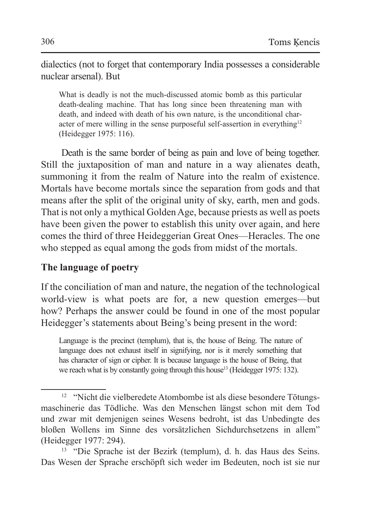dialectics (not to forget that contemporary India possesses a considerable nuclear arsenal). But

What is deadly is not the much-discussed atomic bomb as this particular death-dealing machine. That has long since been threatening man with death, and indeed with death of his own nature, is the unconditional character of mere willing in the sense purposeful self-assertion in everything<sup>12</sup> (Heidegger 1975: 116).

Death is the same border of being as pain and love of being together. Still the juxtaposition of man and nature in a way alienates death, summoning it from the realm of Nature into the realm of existence. Mortals have become mortals since the separation from gods and that means after the split of the original unity of sky, earth, men and gods. That is not only a mythical Golden Age, because priests as well as poets have been given the power to establish this unity over again, and here comes the third of three Heideggerian Great Ones—Heracles. The one who stepped as equal among the gods from midst of the mortals.

### **The language of poetry**

If the conciliation of man and nature, the negation of the technological world-view is what poets are for, a new question emerges—but how? Perhaps the answer could be found in one of the most popular Heidegger's statements about Being's being present in the word:

Language is the precinct (templum), that is, the house of Being. The nature of language does not exhaust itself in signifying, nor is it merely something that has character of sign or cipher. It is because language is the house of Being, that we reach what is by constantly going through this house<sup>13</sup> (Heidegger 1975: 132).

<sup>&</sup>lt;sup>12</sup> "Nicht die vielberedete Atombombe ist als diese besondere Tötungsmaschinerie das Tödliche. Was den Menschen längst schon mit dem Tod und zwar mit demjenigen seines Wesens bedroht, ist das Unbedingte des bloßen Wollens im Sinne des vorsätzlichen Sichdurchsetzens in allem" (Heidegger 1977: 294).

<sup>&</sup>lt;sup>13</sup> "Die Sprache ist der Bezirk (templum), d. h. das Haus des Seins. Das Wesen der Sprache erschöpft sich weder im Bedeuten, noch ist sie nur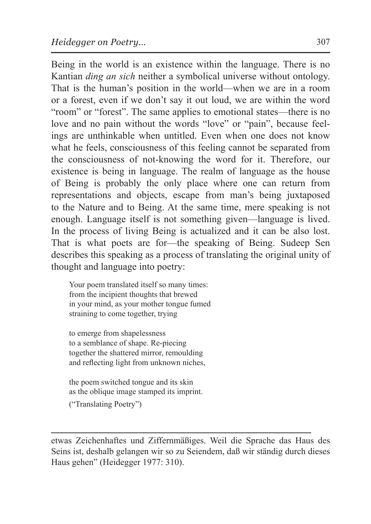Being in the world is an existence within the language. There is no Kantian *ding an sich* neither a symbolical universe without ontology. That is the human's position in the world—when we are in a room or a forest, even if we don't say it out loud, we are within the word "room" or "forest". The same applies to emotional states—there is no love and no pain without the words "love" or "pain", because feelings are unthinkable when untitled. Even when one does not know what he feels, consciousness of this feeling cannot be separated from the consciousness of not-knowing the word for it. Therefore, our existence is being in language. The realm of language as the house of Being is probably the only place where one can return from representations and objects, escape from man's being juxtaposed to the Nature and to Being. At the same time, mere speaking is not enough. Language itself is not something given—language is lived. In the process of living Being is actualized and it can be also lost. That is what poets are for—the speaking of Being. Sudeep Sen describes this speaking as a process of translating the original unity of thought and language into poetry:

Your poem translated itself so many times: from the incipient thoughts that brewed in your mind, as your mother tongue fumed straining to come together, trying

to emerge from shapelessness to a semblance of shape. Re-piecing together the shattered mirror, remoulding and reflecting light from unknown niches,

the poem switched tongue and its skin as the oblique image stamped its imprint.

("Translating Poetry")

etwas Zeichenhaftes und Ziffernmäßiges. Weil die Sprache das Haus des Seins ist, deshalb gelangen wir so zu Seiendem, daß wir ständig durch dieses Haus gehen" (Heidegger 1977: 310).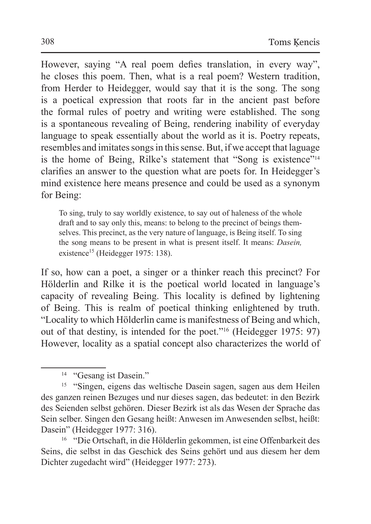However, saying "A real poem defies translation, in every way", he closes this poem. Then, what is a real poem? Western tradition, from Herder to Heidegger, would say that it is the song. The song is a poetical expression that roots far in the ancient past before the formal rules of poetry and writing were established. The song is a spontaneous revealing of Being, rendering inability of everyday language to speak essentially about the world as it is. Poetry repeats, resembles and imitates songs in this sense. But, if we accept that laguage is the home of Being, Rilke's statement that "Song is existence"14 clarifies an answer to the question what are poets for. In Heidegger's mind existence here means presence and could be used as a synonym for Being:

To sing, truly to say worldly existence, to say out of haleness of the whole draft and to say only this, means: to belong to the precinct of beings themselves. This precinct, as the very nature of language, is Being itself. To sing the song means to be present in what is present itself. It means: *Dasein,*  existence<sup>15</sup> (Heidegger 1975: 138).

If so, how can a poet, a singer or a thinker reach this precinct? For Hölderlin and Rilke it is the poetical world located in language's capacity of revealing Being. This locality is defined by lightening of Being. This is realm of poetical thinking enlightened by truth. "Locality to which Hölderlin came is manifestness of Being and which, out of that destiny, is intended for the poet."16 (Heidegger 1975: 97) However, locality as a spatial concept also characterizes the world of

<sup>&</sup>lt;sup>14</sup> "Gesang ist Dasein."

<sup>&</sup>lt;sup>15</sup> "Singen, eigens das weltische Dasein sagen, sagen aus dem Heilen des ganzen reinen Bezuges und nur dieses sagen, das bedeutet: in den Bezirk des Seienden selbst gehören. Dieser Bezirk ist als das Wesen der Sprache das Sein selber. Singen den Gesang heißt: Anwesen im Anwesenden selbst, heißt: Dasein" (Heidegger 1977: 316).

<sup>16</sup> "Die Ortschaft, in die Hölderlin gekommen, ist eine Offenbarkeit des Seins, die selbst in das Geschick des Seins gehört und aus diesem her dem Dichter zugedacht wird" (Heidegger 1977: 273).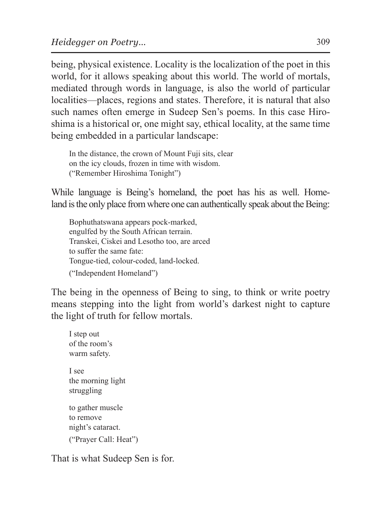being, physical existence. Locality is the localization of the poet in this world, for it allows speaking about this world. The world of mortals, mediated through words in language, is also the world of particular localities—places, regions and states. Therefore, it is natural that also such names often emerge in Sudeep Sen's poems. In this case Hiroshima is a historical or, one might say, ethical locality, at the same time being embedded in a particular landscape:

In the distance, the crown of Mount Fuji sits, clear on the icy clouds, frozen in time with wisdom. ("Remember Hiroshima Tonight")

While language is Being's homeland, the poet has his as well. Homeland is the only place from where one can authentically speak about the Being:

Bophuthatswana appears pock-marked, engulfed by the South African terrain. Transkei, Ciskei and Lesotho too, are arced to suffer the same fate: Tongue-tied, colour-coded, land-locked. ("Independent Homeland")

The being in the openness of Being to sing, to think or write poetry means stepping into the light from world's darkest night to capture the light of truth for fellow mortals.

```
I step out
of the room's
warm safety.
I see
the morning light
struggling
to gather muscle
to remove
night's cataract.
("Prayer Call: Heat")
```
That is what Sudeep Sen is for.